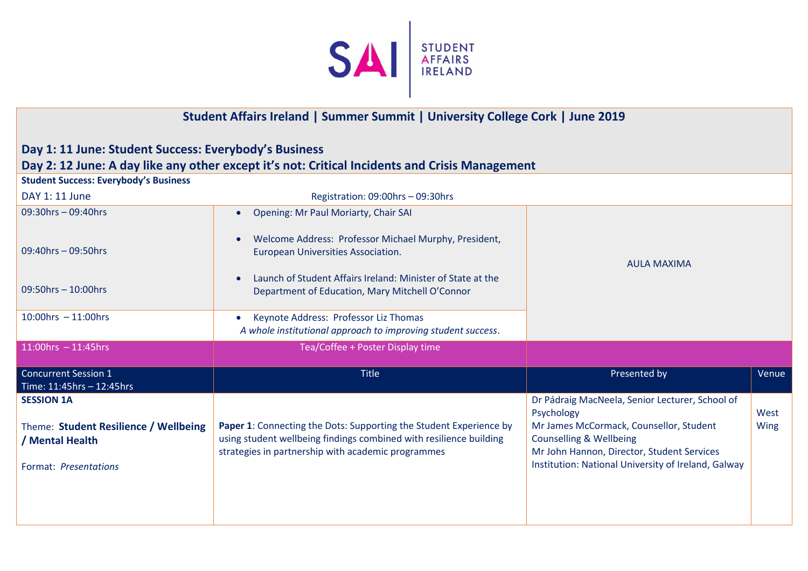

## **Student Affairs Ireland | Summer Summit | University College Cork | June 2019**

## **Day 1: 11 June: Student Success: Everybody's Business**

## **Day 2: 12 June: A day like any other except it's not: Critical Incidents and Crisis Management**

| <b>Student Success: Everybody's Business</b>             |                                                                                                                                                                                                |                                                                                                                             |       |
|----------------------------------------------------------|------------------------------------------------------------------------------------------------------------------------------------------------------------------------------------------------|-----------------------------------------------------------------------------------------------------------------------------|-------|
| DAY 1: 11 June                                           | Registration: 09:00hrs - 09:30hrs                                                                                                                                                              |                                                                                                                             |       |
| $09:30$ hrs $-09:40$ hrs                                 | Opening: Mr Paul Moriarty, Chair SAI<br>$\bullet$                                                                                                                                              |                                                                                                                             |       |
| 09:40hrs - 09:50hrs                                      | Welcome Address: Professor Michael Murphy, President,<br>European Universities Association.                                                                                                    | <b>AULA MAXIMA</b>                                                                                                          |       |
| $09:50$ hrs $-10:00$ hrs                                 | Launch of Student Affairs Ireland: Minister of State at the<br>Department of Education, Mary Mitchell O'Connor                                                                                 |                                                                                                                             |       |
| $10:00$ hrs $-11:00$ hrs                                 | Keynote Address: Professor Liz Thomas<br>$\bullet$<br>A whole institutional approach to improving student success.                                                                             |                                                                                                                             |       |
| $11:00$ hrs $-11:45$ hrs                                 | Tea/Coffee + Poster Display time                                                                                                                                                               |                                                                                                                             |       |
| <b>Concurrent Session 1</b><br>Time: 11:45hrs - 12:45hrs | <b>Title</b>                                                                                                                                                                                   | Presented by                                                                                                                | Venue |
| <b>SESSION 1A</b>                                        |                                                                                                                                                                                                | Dr Pádraig MacNeela, Senior Lecturer, School of<br>Psychology                                                               | West  |
| Theme: Student Resilience / Wellbeing<br>/ Mental Health | Paper 1: Connecting the Dots: Supporting the Student Experience by<br>using student wellbeing findings combined with resilience building<br>strategies in partnership with academic programmes | Mr James McCormack, Counsellor, Student<br><b>Counselling &amp; Wellbeing</b><br>Mr John Hannon, Director, Student Services | Wing  |
| Format: Presentations                                    |                                                                                                                                                                                                | Institution: National University of Ireland, Galway                                                                         |       |
|                                                          |                                                                                                                                                                                                |                                                                                                                             |       |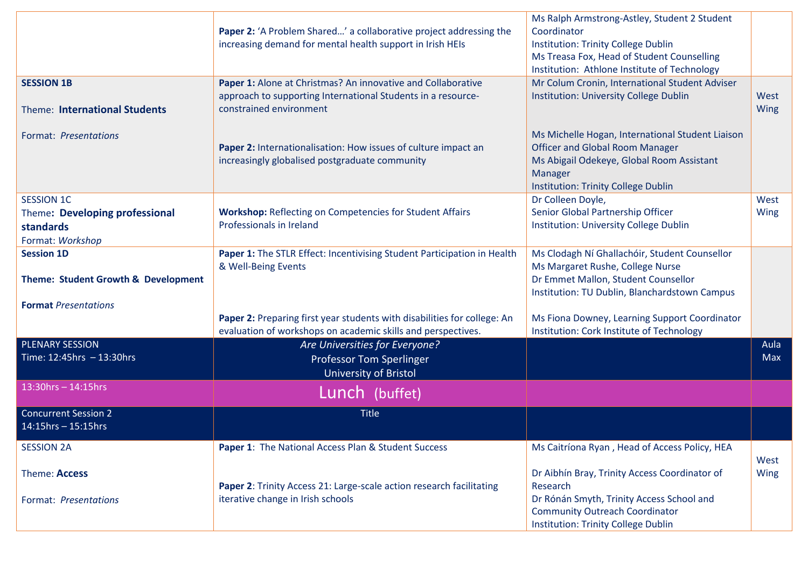|                                     |                                                                           | Ms Ralph Armstrong-Astley, Student 2 Student     |             |
|-------------------------------------|---------------------------------------------------------------------------|--------------------------------------------------|-------------|
|                                     | <b>Paper 2:</b> 'A Problem Shared' a collaborative project addressing the | Coordinator                                      |             |
|                                     | increasing demand for mental health support in Irish HEIs                 | <b>Institution: Trinity College Dublin</b>       |             |
|                                     |                                                                           | Ms Treasa Fox, Head of Student Counselling       |             |
|                                     |                                                                           | Institution: Athlone Institute of Technology     |             |
| <b>SESSION 1B</b>                   | Paper 1: Alone at Christmas? An innovative and Collaborative              | Mr Colum Cronin, International Student Adviser   |             |
|                                     | approach to supporting International Students in a resource-              | Institution: University College Dublin           | West        |
| Theme: International Students       | constrained environment                                                   |                                                  | <b>Wing</b> |
|                                     |                                                                           |                                                  |             |
| Format: Presentations               |                                                                           | Ms Michelle Hogan, International Student Liaison |             |
|                                     | Paper 2: Internationalisation: How issues of culture impact an            | <b>Officer and Global Room Manager</b>           |             |
|                                     | increasingly globalised postgraduate community                            | Ms Abigail Odekeye, Global Room Assistant        |             |
|                                     |                                                                           | Manager                                          |             |
|                                     |                                                                           | Institution: Trinity College Dublin              |             |
| <b>SESSION 1C</b>                   |                                                                           | Dr Colleen Doyle,                                | West        |
| Theme: Developing professional      | <b>Workshop:</b> Reflecting on Competencies for Student Affairs           | Senior Global Partnership Officer                | <b>Wing</b> |
| standards                           | Professionals in Ireland                                                  | Institution: University College Dublin           |             |
| Format: Workshop                    |                                                                           |                                                  |             |
| <b>Session 1D</b>                   | Paper 1: The STLR Effect: Incentivising Student Participation in Health   | Ms Clodagh Ní Ghallachóir, Student Counsellor    |             |
|                                     | & Well-Being Events                                                       | Ms Margaret Rushe, College Nurse                 |             |
| Theme: Student Growth & Development |                                                                           | Dr Emmet Mallon, Student Counsellor              |             |
|                                     |                                                                           | Institution: TU Dublin, Blanchardstown Campus    |             |
| <b>Format Presentations</b>         |                                                                           |                                                  |             |
|                                     | Paper 2: Preparing first year students with disabilities for college: An  | Ms Fiona Downey, Learning Support Coordinator    |             |
|                                     | evaluation of workshops on academic skills and perspectives.              | Institution: Cork Institute of Technology        |             |
| <b>PLENARY SESSION</b>              | Are Universities for Everyone?                                            |                                                  | Aula        |
| Time: $12:45$ hrs $-13:30$ hrs      | <b>Professor Tom Sperlinger</b>                                           |                                                  | Max         |
|                                     |                                                                           |                                                  |             |
|                                     | <b>University of Bristol</b>                                              |                                                  |             |
| $13:30$ hrs - $14:15$ hrs           | Lunch (buffet)                                                            |                                                  |             |
| <b>Concurrent Session 2</b>         | <b>Title</b>                                                              |                                                  |             |
| 14:15hrs - 15:15hrs                 |                                                                           |                                                  |             |
|                                     |                                                                           |                                                  |             |
| <b>SESSION 2A</b>                   | Paper 1: The National Access Plan & Student Success                       | Ms Caitríona Ryan, Head of Access Policy, HEA    |             |
|                                     |                                                                           |                                                  | West        |
| Theme: Access                       |                                                                           | Dr Aibhín Bray, Trinity Access Coordinator of    | Wing        |
|                                     | Paper 2: Trinity Access 21: Large-scale action research facilitating      | Research                                         |             |
| Format: Presentations               | iterative change in Irish schools                                         | Dr Rónán Smyth, Trinity Access School and        |             |
|                                     |                                                                           | <b>Community Outreach Coordinator</b>            |             |
|                                     |                                                                           | Institution: Trinity College Dublin              |             |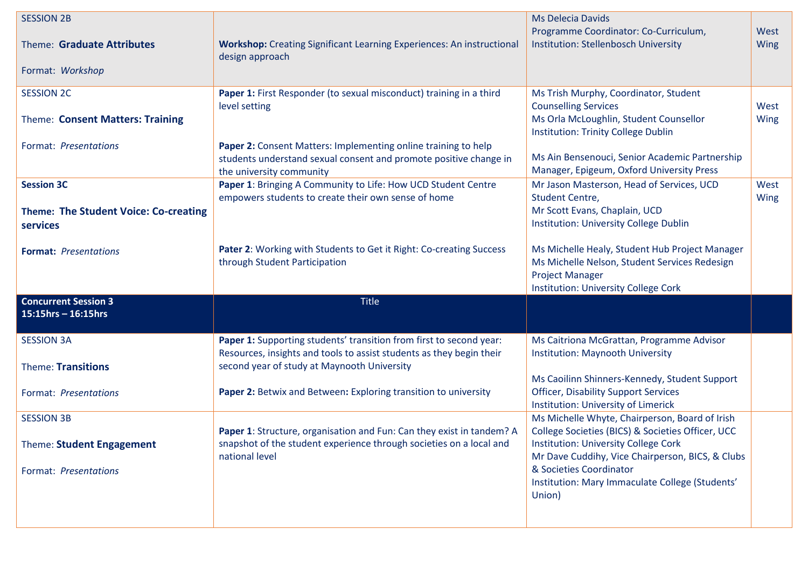| <b>SESSION 2B</b>                                                             |                                                                                                                                                                                            | <b>Ms Delecia Davids</b>                                                                                                                                                 |                     |
|-------------------------------------------------------------------------------|--------------------------------------------------------------------------------------------------------------------------------------------------------------------------------------------|--------------------------------------------------------------------------------------------------------------------------------------------------------------------------|---------------------|
| Theme: Graduate Attributes<br>Format: Workshop                                | Workshop: Creating Significant Learning Experiences: An instructional<br>design approach                                                                                                   | Programme Coordinator: Co-Curriculum,<br>Institution: Stellenbosch University                                                                                            | West<br><b>Wing</b> |
|                                                                               |                                                                                                                                                                                            |                                                                                                                                                                          |                     |
| <b>SESSION 2C</b><br>Theme: Consent Matters: Training                         | Paper 1: First Responder (to sexual misconduct) training in a third<br>level setting                                                                                                       | Ms Trish Murphy, Coordinator, Student<br><b>Counselling Services</b><br>Ms Orla McLoughlin, Student Counsellor<br>Institution: Trinity College Dublin                    | West<br><b>Wing</b> |
| Format: Presentations                                                         | Paper 2: Consent Matters: Implementing online training to help<br>students understand sexual consent and promote positive change in<br>the university community                            | Ms Ain Bensenouci, Senior Academic Partnership<br>Manager, Epigeum, Oxford University Press                                                                              |                     |
| <b>Session 3C</b><br><b>Theme: The Student Voice: Co-creating</b><br>services | Paper 1: Bringing A Community to Life: How UCD Student Centre<br>empowers students to create their own sense of home                                                                       | Mr Jason Masterson, Head of Services, UCD<br>Student Centre,<br>Mr Scott Evans, Chaplain, UCD<br>Institution: University College Dublin                                  | West<br><b>Wing</b> |
| <b>Format: Presentations</b>                                                  | Pater 2: Working with Students to Get it Right: Co-creating Success<br>through Student Participation                                                                                       | Ms Michelle Healy, Student Hub Project Manager<br>Ms Michelle Nelson, Student Services Redesign<br><b>Project Manager</b><br><b>Institution: University College Cork</b> |                     |
| <b>Concurrent Session 3</b><br>$15:15$ hrs - 16:15hrs                         | <b>Title</b>                                                                                                                                                                               |                                                                                                                                                                          |                     |
| <b>SESSION 3A</b><br>Theme: Transitions                                       | Paper 1: Supporting students' transition from first to second year:<br>Resources, insights and tools to assist students as they begin their<br>second year of study at Maynooth University | Ms Caitriona McGrattan, Programme Advisor<br><b>Institution: Maynooth University</b>                                                                                     |                     |
| Format: Presentations                                                         | Paper 2: Betwix and Between: Exploring transition to university                                                                                                                            | Ms Caoilinn Shinners-Kennedy, Student Support<br><b>Officer, Disability Support Services</b><br><b>Institution: University of Limerick</b>                               |                     |
| <b>SESSION 3B</b>                                                             | Paper 1: Structure, organisation and Fun: Can they exist in tandem? A                                                                                                                      | Ms Michelle Whyte, Chairperson, Board of Irish<br>College Societies (BICS) & Societies Officer, UCC                                                                      |                     |
| Theme: Student Engagement                                                     | snapshot of the student experience through societies on a local and<br>national level                                                                                                      | <b>Institution: University College Cork</b><br>Mr Dave Cuddihy, Vice Chairperson, BICS, & Clubs                                                                          |                     |
| Format: Presentations                                                         |                                                                                                                                                                                            | & Societies Coordinator<br>Institution: Mary Immaculate College (Students'<br>Union)                                                                                     |                     |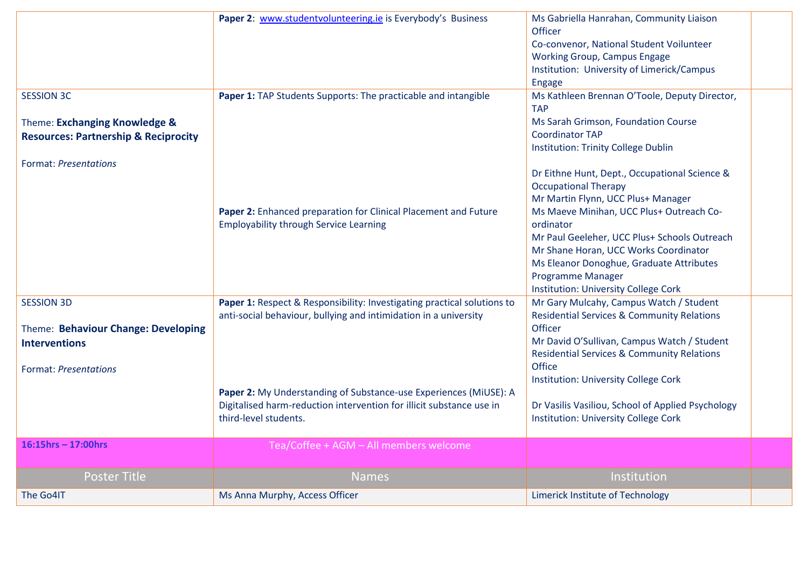|                                                 | Paper 2: www.studentvolunteering.ie is Everybody's Business             | Ms Gabriella Hanrahan, Community Liaison<br>Officer<br>Co-convenor, National Student Voilunteer<br><b>Working Group, Campus Engage</b> |  |
|-------------------------------------------------|-------------------------------------------------------------------------|----------------------------------------------------------------------------------------------------------------------------------------|--|
|                                                 |                                                                         | Institution: University of Limerick/Campus<br><b>Engage</b>                                                                            |  |
| <b>SESSION 3C</b>                               | Paper 1: TAP Students Supports: The practicable and intangible          | Ms Kathleen Brennan O'Toole, Deputy Director,<br><b>TAP</b>                                                                            |  |
| Theme: Exchanging Knowledge &                   |                                                                         | Ms Sarah Grimson, Foundation Course                                                                                                    |  |
| <b>Resources: Partnership &amp; Reciprocity</b> |                                                                         | <b>Coordinator TAP</b>                                                                                                                 |  |
|                                                 |                                                                         | <b>Institution: Trinity College Dublin</b>                                                                                             |  |
| <b>Format: Presentations</b>                    |                                                                         | Dr Eithne Hunt, Dept., Occupational Science &                                                                                          |  |
|                                                 |                                                                         | <b>Occupational Therapy</b>                                                                                                            |  |
|                                                 |                                                                         | Mr Martin Flynn, UCC Plus+ Manager                                                                                                     |  |
|                                                 | Paper 2: Enhanced preparation for Clinical Placement and Future         | Ms Maeve Minihan, UCC Plus+ Outreach Co-                                                                                               |  |
|                                                 | <b>Employability through Service Learning</b>                           | ordinator                                                                                                                              |  |
|                                                 |                                                                         | Mr Paul Geeleher, UCC Plus+ Schools Outreach                                                                                           |  |
|                                                 |                                                                         | Mr Shane Horan, UCC Works Coordinator                                                                                                  |  |
|                                                 |                                                                         | Ms Eleanor Donoghue, Graduate Attributes                                                                                               |  |
|                                                 |                                                                         | <b>Programme Manager</b>                                                                                                               |  |
| <b>SESSION 3D</b>                               | Paper 1: Respect & Responsibility: Investigating practical solutions to | <b>Institution: University College Cork</b><br>Mr Gary Mulcahy, Campus Watch / Student                                                 |  |
|                                                 | anti-social behaviour, bullying and intimidation in a university        | <b>Residential Services &amp; Community Relations</b>                                                                                  |  |
| Theme: Behaviour Change: Developing             |                                                                         | Officer                                                                                                                                |  |
| <b>Interventions</b>                            |                                                                         | Mr David O'Sullivan, Campus Watch / Student                                                                                            |  |
|                                                 |                                                                         | Residential Services & Community Relations                                                                                             |  |
| <b>Format: Presentations</b>                    |                                                                         | Office                                                                                                                                 |  |
|                                                 |                                                                         | <b>Institution: University College Cork</b>                                                                                            |  |
|                                                 | Paper 2: My Understanding of Substance-use Experiences (MiUSE): A       |                                                                                                                                        |  |
|                                                 | Digitalised harm-reduction intervention for illicit substance use in    | Dr Vasilis Vasiliou, School of Applied Psychology                                                                                      |  |
|                                                 | third-level students.                                                   | <b>Institution: University College Cork</b>                                                                                            |  |
| $16:15$ hrs - 17:00hrs                          | Tea/Coffee + AGM - All members welcome                                  |                                                                                                                                        |  |
|                                                 |                                                                         |                                                                                                                                        |  |
| <b>Poster Title</b>                             | <b>Names</b>                                                            | Institution                                                                                                                            |  |
| The Go4IT                                       | Ms Anna Murphy, Access Officer                                          | Limerick Institute of Technology                                                                                                       |  |